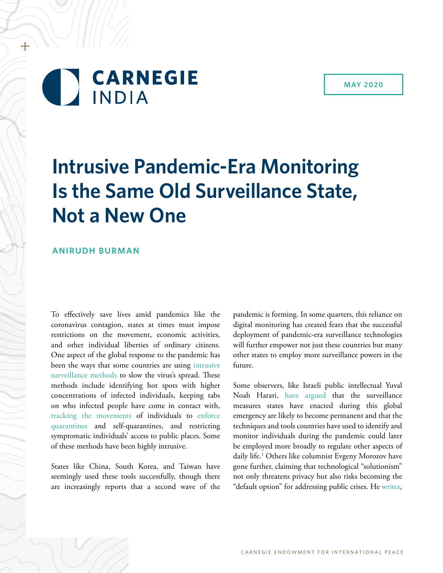# **CARNEGIE INDIA**

+

# **Intrusive Pandemic-Era Monitoring Is the Same Old Surveillance State, Not a New One**

## **ANIRUDH BURMAN**

To effectively save lives amid pandemics like the coronavirus contagion, states at times must impose restrictions on the movement, economic activities, and other individual liberties of ordinary citizens. One aspect of the global response to the pandemic has been the ways that some countries are using [intrusive](https://www.nytimes.com/2020/03/17/world/asia/coronavirus-singapore-hong-kong-taiwan.html) [surveillance methods](https://www.nytimes.com/2020/03/17/world/asia/coronavirus-singapore-hong-kong-taiwan.html) to slow the virus's spread. These methods include identifying hot spots with higher concentrations of infected individuals, keeping tabs on who infected people have come in contact with, [tracking the movements](https://www.smartcitiesworld.net/news/news/south-korea-to-step-up-online-coronavirus-tracking-5109) of individuals to [enforce](https://www.ft.com/content/27f57046-686e-11ea-800d-da70cff6e4d3) [quarantines](https://www.ft.com/content/27f57046-686e-11ea-800d-da70cff6e4d3) and self-quarantines, and restricting symptomatic individuals' access to public places. Some of these methods have been highly intrusive.

States like China, South Korea, and Taiwan have seemingly used these tools successfully, though there are increasingly reports that a second wave of the

pandemic is forming. In some quarters, this reliance on digital monitoring has created fears that the successful deployment of pandemic-era surveillance technologies will further empower not just these countries but many other states to employ more surveillance powers in the future.

Some observers, like Israeli public intellectual Yuval Noah Harari, [have argued](https://amp.ft.com/content/19d90308-6858-11ea-a3c9-1fe6fedcca75) that the surveillance measures states have enacted during this global emergency are likely to become permanent and that the techniques and tools countries have used to identify and monitor individuals during the pandemic could later be employed more broadly to regulate other aspects of daily life.1 Others like columnist Evgeny Morozov have gone further, claiming that technological "solutionism" not only threatens privacy but also risks becoming the "default option" for addressing public crises. He [writes](https://www.theguardian.com/commentisfree/2020/apr/15/tech-coronavirus-surveilance-state-digital-disrupt),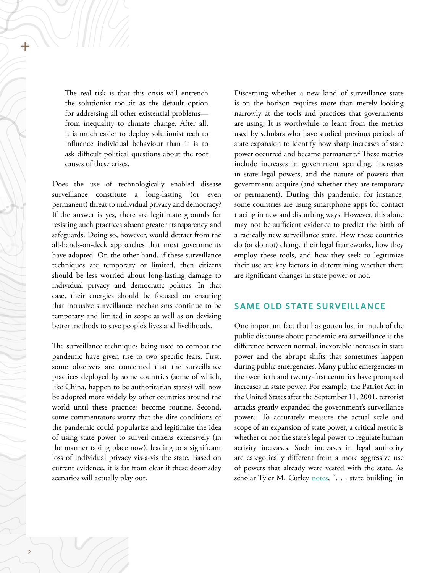The real risk is that this crisis will entrench the solutionist toolkit as the default option for addressing all other existential problems from inequality to climate change. After all, it is much easier to deploy solutionist tech to influence individual behaviour than it is to ask difficult political questions about the root causes of these crises.

Does the use of technologically enabled disease surveillance constitute a long-lasting (or even permanent) threat to individual privacy and democracy? If the answer is yes, there are legitimate grounds for resisting such practices absent greater transparency and safeguards. Doing so, however, would detract from the all-hands-on-deck approaches that most governments have adopted. On the other hand, if these surveillance techniques are temporary or limited, then citizens should be less worried about long-lasting damage to individual privacy and democratic politics. In that case, their energies should be focused on ensuring that intrusive surveillance mechanisms continue to be temporary and limited in scope as well as on devising better methods to save people's lives and livelihoods.

The surveillance techniques being used to combat the pandemic have given rise to two specific fears. First, some observers are concerned that the surveillance practices deployed by some countries (some of which, like China, happen to be authoritarian states) will now be adopted more widely by other countries around the world until these practices become routine. Second, some commentators worry that the dire conditions of the pandemic could popularize and legitimize the idea of using state power to surveil citizens extensively (in the manner taking place now), leading to a significant loss of individual privacy vis-à-vis the state. Based on current evidence, it is far from clear if these doomsday scenarios will actually play out.

Discerning whether a new kind of surveillance state is on the horizon requires more than merely looking narrowly at the tools and practices that governments are using. It is worthwhile to learn from the metrics used by scholars who have studied previous periods of state expansion to identify how sharp increases of state power occurred and became permanent.<sup>2</sup> These metrics include increases in government spending, increases in state legal powers, and the nature of powers that governments acquire (and whether they are temporary or permanent). During this pandemic, for instance, some countries are using smartphone apps for contact tracing in new and disturbing ways. However, this alone may not be sufficient evidence to predict the birth of a radically new surveillance state. How these countries do (or do not) change their legal frameworks, how they employ these tools, and how they seek to legitimize their use are key factors in determining whether there are significant changes in state power or not.

## **SAME OLD STATE SURVEILLANCE**

One important fact that has gotten lost in much of the public discourse about pandemic-era surveillance is the difference between normal, inexorable increases in state power and the abrupt shifts that sometimes happen during public emergencies. Many public emergencies in the twentieth and twenty-first centuries have prompted increases in state power. For example, the Patriot Act in the United States after the September 11, 2001, terrorist attacks greatly expanded the government's surveillance powers. To accurately measure the actual scale and scope of an expansion of state power, a critical metric is whether or not the state's legal power to regulate human activity increases. Such increases in legal authority are categorically different from a more aggressive use of powers that already were vested with the state. As scholar Tyler M. Curley [notes](https://www.cambridge.org/core/journals/perspectives-on-politics/article/models-of-emergency-statebuilding-in-the-united-states/0D7229838B80B280C8B296BC1FDD82D8), ". . . state building [in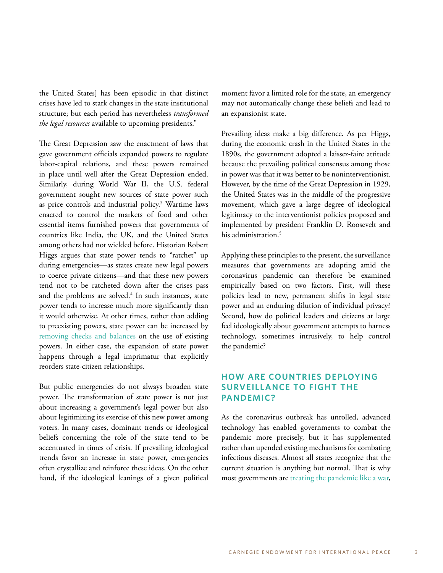the United States] has been episodic in that distinct crises have led to stark changes in the state institutional structure; but each period has nevertheless *transformed the legal resources* available to upcoming presidents."

The Great Depression saw the enactment of laws that gave government officials expanded powers to regulate labor-capital relations, and these powers remained in place until well after the Great Depression ended. Similarly, during World War II, the U.S. federal government sought new sources of state power such as price controls and industrial policy.<sup>3</sup> Wartime laws enacted to control the markets of food and other essential items furnished powers that governments of countries like India, the UK, and the United States among others had not wielded before. Historian Robert Higgs argues that state power tends to "ratchet" up during emergencies—as states create new legal powers to coerce private citizens—and that these new powers tend not to be ratcheted down after the crises pass and the problems are solved.<sup>4</sup> In such instances, state power tends to increase much more significantly than it would otherwise. At other times, rather than adding to preexisting powers, state power can be increased by [removing checks and balances](https://www.cambridge.org/core/journals/perspectives-on-politics/article/models-of-emergency-statebuilding-in-the-united-states/0D7229838B80B280C8B296BC1FDD82D8) on the use of existing powers. In either case, the expansion of state power happens through a legal imprimatur that explicitly reorders state-citizen relationships.

But public emergencies do not always broaden state power. The transformation of state power is not just about increasing a government's legal power but also about legitimizing its exercise of this new power among voters. In many cases, dominant trends or ideological beliefs concerning the role of the state tend to be accentuated in times of crisis. If prevailing ideological trends favor an increase in state power, emergencies often crystallize and reinforce these ideas. On the other hand, if the ideological leanings of a given political

moment favor a limited role for the state, an emergency may not automatically change these beliefs and lead to an expansionist state.

Prevailing ideas make a big difference. As per Higgs, during the economic crash in the United States in the 1890s, the government adopted a laissez-faire attitude because the prevailing political consensus among those in power was that it was better to be noninterventionist. However, by the time of the Great Depression in 1929, the United States was in the middle of the progressive movement, which gave a large degree of ideological legitimacy to the interventionist policies proposed and implemented by president Franklin D. Roosevelt and his administration.<sup>5</sup>

Applying these principles to the present, the surveillance measures that governments are adopting amid the coronavirus pandemic can therefore be examined empirically based on two factors. First, will these policies lead to new, permanent shifts in legal state power and an enduring dilution of individual privacy? Second, how do political leaders and citizens at large feel ideologically about government attempts to harness technology, sometimes intrusively, to help control the pandemic?

# **HOW ARE COUNTRIES DEPLOYING SURVEILLANCE TO FIGHT THE PANDEMIC?**

As the coronavirus outbreak has unrolled, advanced technology has enabled governments to combat the pandemic more precisely, but it has supplemented rather than upended existing mechanisms for combating infectious diseases. Almost all states recognize that the current situation is anything but normal. That is why most governments are [treating the pandemic](https://www.hindustantimes.com/analysis/covid-19-an-epidemic-is-an-epidemic-a-war-is-a-war-analysis/story-GPYKUbUptjocqZeeKr56WP.html) [like a war](https://indianexpress.com/article/opinion/columns/coronavirus-india-lockdown-amartya-sen-economy-migrants-6352132/),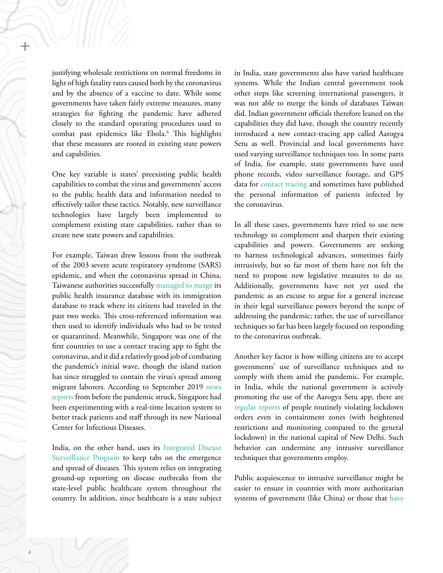justifying wholesale restrictions on normal freedoms in light of high fatality rates caused both by the coronavirus and by the absence of a vaccine to date. While some governments have taken fairly extreme measures, many strategies for fighting the pandemic have adhered closely to the standard operating procedures used to combat past epidemics like Ebola.6 This highlights that these measures are rooted in existing state powers and capabilities.

One key variable is states' preexisting public health capabilities to combat the virus and governments' access to the public health data and information needed to effectively tailor these tactics. Notably, new surveillance technologies have largely been implemented to complement existing state capabilities, rather than to create new state powers and capabilities.

For example, Taiwan drew lessons from the outbreak of the 2003 severe acute respiratory syndrome (SARS) epidemic, and when the coronavirus spread in China, Taiwanese authorities successfully [managed to merge](https://www.cgdev.org/blog/covid-19-information-problems-and-digital-surveillance) its public health insurance database with its immigration database to track where its citizens had traveled in the past two weeks. This cross-referenced information was then used to identify individuals who had to be tested or quarantined. Meanwhile, Singapore was one of the first countries to use a contact tracing app to fight the coronavirus, and it did a relatively good job of combating the pandemic's initial wave, though the island nation has since struggled to contain the virus's spread among migrant laborers. According to September 2019 [news](https://www.healthcareitnews.com/news/asia-pacific/singapore-s-ncid-trials-use-real-time-location-system-rtls) [reports](https://www.healthcareitnews.com/news/asia-pacific/singapore-s-ncid-trials-use-real-time-location-system-rtls) from before the pandemic struck, Singapore had been experimenting with a real-time location system to better track patients and staff through its new National Center for Infectious Diseases.

India, on the other hand, uses its [Integrated Disease](https://idsp.nic.in/) [Surveillance Program](https://idsp.nic.in/) to keep tabs on the emergence and spread of diseases. This system relies on integrating ground-up reporting on disease outbreaks from the state-level public healthcare system throughout the country. In addition, since healthcare is a state subject

in India, state governments also have varied healthcare systems. While the Indian central government took other steps like screening international passengers, it was not able to merge the kinds of databases Taiwan did. Indian government officials therefore leaned on the capabilities they did have, though the country recently introduced a new contact-tracing app called Aarogya Setu as well. Provincial and local governments have used varying surveillance techniques too. In some parts of India, for example, state governments have used phone records, video surveillance footage, and GPS data for [contact tracing](https://thewire.in/government/covid-19-pandemic-privacy-india) and sometimes have published the personal information of patients infected by the coronavirus.

In all these cases, governments have tried to use new technology to complement and sharpen their existing capabilities and powers. Governments are seeking to harness technological advances, sometimes fairly intrusively, but so far most of them have not felt the need to propose new legislative measures to do so. Additionally, governments have not yet used the pandemic as an excuse to argue for a general increase in their legal surveillance powers beyond the scope of addressing the pandemic; rather, the use of surveillance techniques so far has been largely focused on responding to the coronavirus outbreak.

Another key factor is how willing citizens are to accept governments' use of surveillance techniques and to comply with them amid the pandemic. For example, in India, while the national government is actively promoting the use of the Aarogya Setu app, there are [regular reports](https://scroll.in/latest/959593/coronavirus-26-members-of-family-test-positive-in-delhi-kejriwal-reiterates-appeal-to-stay-home) of people routinely violating lockdown orders even in containment zones (with heightened restrictions and monitoring compared to the general lockdown) in the national capital of New Delhi. Such behavior can undermine any intrusive surveillance techniques that governments employ.

Public acquiescence to intrusive surveillance might be easier to ensure in countries with more authoritarian systems of government (like China) or those that [have](https://www.nytimes.com/2020/03/17/world/asia/coronavirus-singapore-hong-kong-taiwan.html)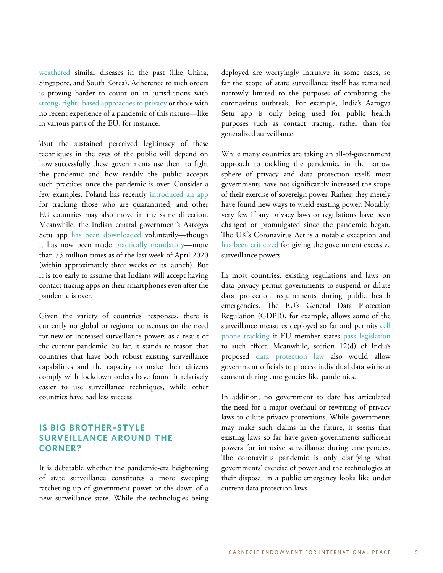[weathered](https://www.nytimes.com/2020/03/17/world/asia/coronavirus-singapore-hong-kong-taiwan.html) similar diseases in the past (like China, Singapore, and South Korea). Adherence to such orders is proving harder to count on in jurisdictions with [strong, rights-based approaches to privacy](https://www.bbc.com/news/technology-52135916) or those with no recent experience of a pandemic of this nature—like in various parts of the EU, for instance.

\But the sustained perceived legitimacy of these techniques in the eyes of the public will depend on how successfully these governments use them to fight the pandemic and how readily the public accepts such practices once the pandemic is over. Consider a few examples. Poland has recently [introduced an app](https://www.politico.eu/article/poland-coronavirus-app-offers-playbook-for-other-governments/) for tracking those who are quarantined, and other EU countries may also move in the same direction. Meanwhile, the Indian central government's Aarogya Setu app [has been downloaded](https://economictimes.indiatimes.com/tech/internet/aarogya-setu-app-crosses-75-million-downloads/articleshow/75359890.cms?from=mdr) voluntarily—though it has now been made [practically mandatory](https://www.livemint.com/technology/apps/aarogya-setu-app-mandatory-for-govt-private-sector-employees-11588363998234.html)—more than 75 million times as of the last week of April 2020 (within approximately three weeks of its launch). But it is too early to assume that Indians will accept having contact tracing apps on their smartphones even after the pandemic is over.

Given the variety of countries' responses, there is currently no global or regional consensus on the need for new or increased surveillance powers as a result of the current pandemic. So far, it stands to reason that countries that have both robust existing surveillance capabilities and the capacity to make their citizens comply with lockdown orders have found it relatively easier to use surveillance techniques, while other countries have had less success.

## **IS BIG BROTHER–STYLE SURVEILLANCE AROUND THE CORNER?**

It is debatable whether the pandemic-era heightening of state surveillance constitutes a more sweeping ratcheting up of government power or the dawn of a new surveillance state. While the technologies being deployed are worryingly intrusive in some cases, so far the scope of state surveillance itself has remained narrowly limited to the purposes of combating the coronavirus outbreak. For example, India's Aarogya Setu app is only being used for public health purposes such as contact tracing, rather than for generalized surveillance.

While many countries are taking an all-of-government approach to tackling the pandemic, in the narrow sphere of privacy and data protection itself, most governments have not significantly increased the scope of their exercise of sovereign power. Rather, they merely have found new ways to wield existing power. Notably, very few if any privacy laws or regulations have been changed or promulgated since the pandemic began. The UK's Coronavirus Act is a notable exception and [has been criticized](https://bigbrotherwatch.org.uk/campaigns/emergency-powers/) for giving the government excessive surveillance powers.

In most countries, existing regulations and laws on data privacy permit governments to suspend or dilute data protection requirements during public health emergencies. The EU's General Data Protection Regulation (GDPR), for example, allows some of the surveillance measures deployed so far and permits [cell](https://tech.newstatesman.com/policy/edpb-coronavirus-mobile-data-eprivacy-directive) [phone tracking](https://tech.newstatesman.com/policy/edpb-coronavirus-mobile-data-eprivacy-directive) if EU member states [pass legislation](https://www.zdnet.com/article/coronavirus-tracking-mobile-apps-get-green-light-from-data-watchdog/) to such effect. Meanwhile, section 12(d) of India's proposed [data protection law](http://164.100.47.4/BillsTexts/LSBillTexts/Asintroduced/373_2019_LS_Eng.pdf) also would allow government officials to process individual data without consent during emergencies like pandemics.

In addition, no government to date has articulated the need for a major overhaul or rewriting of privacy laws to dilute privacy protections. While governments may make such claims in the future, it seems that existing laws so far have given governments sufficient powers for intrusive surveillance during emergencies. The coronavirus pandemic is only clarifying what governments' exercise of power and the technologies at their disposal in a public emergency looks like under current data protection laws.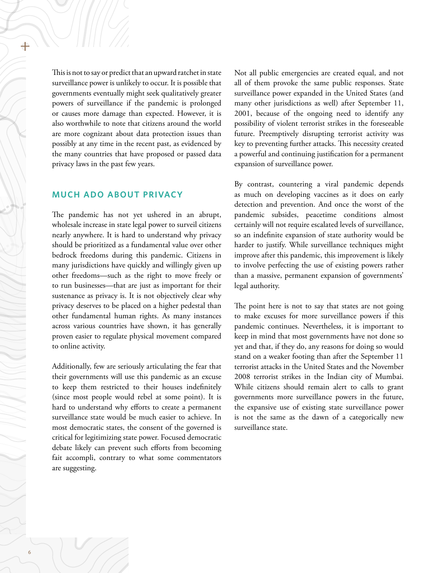This is not to say or predict that an upward ratchet in state surveillance power is unlikely to occur. It is possible that governments eventually might seek qualitatively greater powers of surveillance if the pandemic is prolonged or causes more damage than expected. However, it is also worthwhile to note that citizens around the world are more cognizant about data protection issues than possibly at any time in the recent past, as evidenced by the many countries that have proposed or passed data privacy laws in the past few years.

### **MUCH ADO ABOUT PRIVACY**

The pandemic has not yet ushered in an abrupt, wholesale increase in state legal power to surveil citizens nearly anywhere. It is hard to understand why privacy should be prioritized as a fundamental value over other bedrock freedoms during this pandemic. Citizens in many jurisdictions have quickly and willingly given up other freedoms—such as the right to move freely or to run businesses—that are just as important for their sustenance as privacy is. It is not objectively clear why privacy deserves to be placed on a higher pedestal than other fundamental human rights. As many instances across various countries have shown, it has generally proven easier to regulate physical movement compared to online activity.

Additionally, few are seriously articulating the fear that their governments will use this pandemic as an excuse to keep them restricted to their houses indefinitely (since most people would rebel at some point). It is hard to understand why efforts to create a permanent surveillance state would be much easier to achieve. In most democratic states, the consent of the governed is critical for legitimizing state power. Focused democratic debate likely can prevent such efforts from becoming fait accompli, contrary to what some commentators are suggesting.

Not all public emergencies are created equal, and not all of them provoke the same public responses. State surveillance power expanded in the United States (and many other jurisdictions as well) after September 11, 2001, because of the ongoing need to identify any possibility of violent terrorist strikes in the foreseeable future. Preemptively disrupting terrorist activity was key to preventing further attacks. This necessity created a powerful and continuing justification for a permanent expansion of surveillance power.

By contrast, countering a viral pandemic depends as much on developing vaccines as it does on early detection and prevention. And once the worst of the pandemic subsides, peacetime conditions almost certainly will not require escalated levels of surveillance, so an indefinite expansion of state authority would be harder to justify. While surveillance techniques might improve after this pandemic, this improvement is likely to involve perfecting the use of existing powers rather than a massive, permanent expansion of governments' legal authority.

The point here is not to say that states are not going to make excuses for more surveillance powers if this pandemic continues. Nevertheless, it is important to keep in mind that most governments have not done so yet and that, if they do, any reasons for doing so would stand on a weaker footing than after the September 11 terrorist attacks in the United States and the November 2008 terrorist strikes in the Indian city of Mumbai. While citizens should remain alert to calls to grant governments more surveillance powers in the future, the expansive use of existing state surveillance power is not the same as the dawn of a categorically new surveillance state.